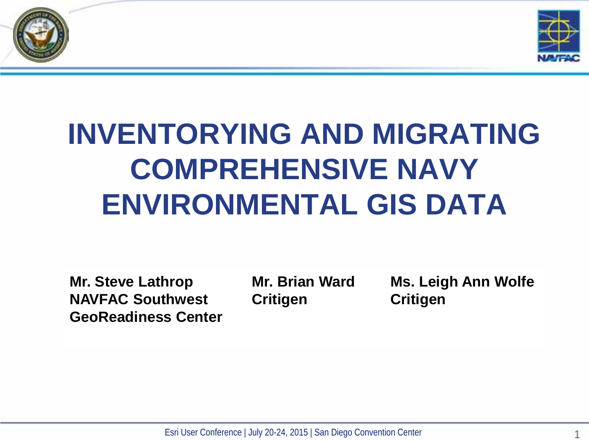



## **INVENTORYING AND MIGRATING COMPREHENSIVE NAVY ENVIRONMENTAL GIS DATA**

**Mr. Steve Lathrop NAVFAC Southwest GeoReadiness Center** **Mr. Brian Ward Critigen**

**Ms. Leigh Ann Wolfe Critigen**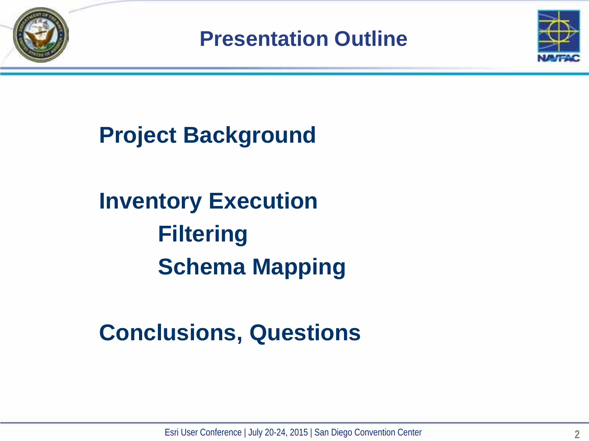**Presentation Outline**



**Project Background**

**Inventory Execution Filtering Schema Mapping**

**Conclusions, Questions**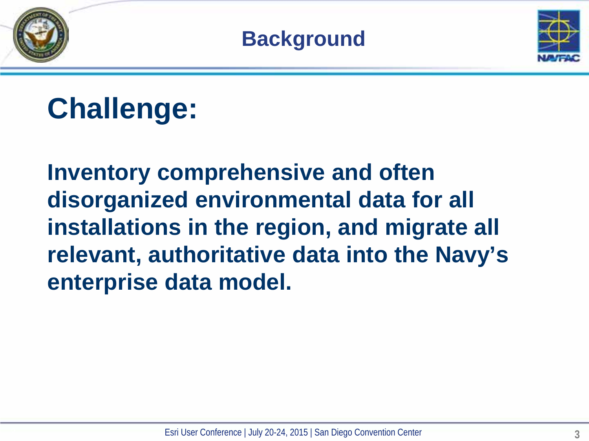



## **Challenge:**

**Inventory comprehensive and often disorganized environmental data for all installations in the region, and migrate all relevant, authoritative data into the Navy's enterprise data model.**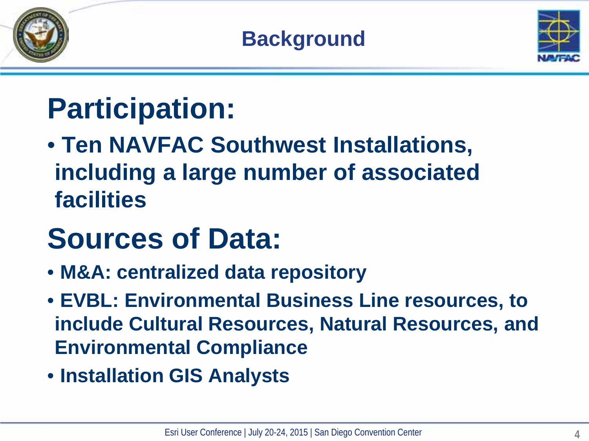



## **Participation:**

• **Ten NAVFAC Southwest Installations, including a large number of associated facilities**

## **Sources of Data:**

- **M&A: centralized data repository**
- **EVBL: Environmental Business Line resources, to include Cultural Resources, Natural Resources, and Environmental Compliance**
- **Installation GIS Analysts**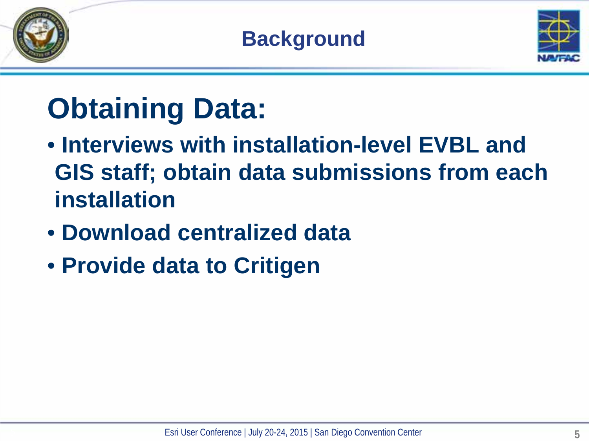

**Background**



## **Obtaining Data:**

- **Interviews with installation-level EVBL and GIS staff; obtain data submissions from each installation**
- **Download centralized data**
- **Provide data to Critigen**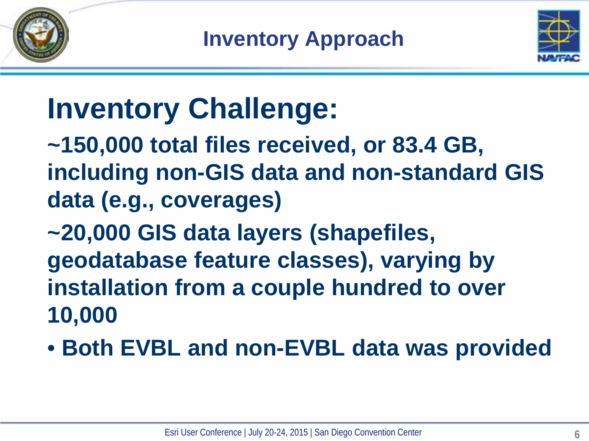



## **Inventory Challenge:**

**~150,000 total files received, or 83.4 GB, including non-GIS data and non-standard GIS data (e.g., coverages)**

**~20,000 GIS data layers (shapefiles, geodatabase feature classes), varying by installation from a couple hundred to over 10,000** 

• **Both EVBL and non-EVBL data was provided**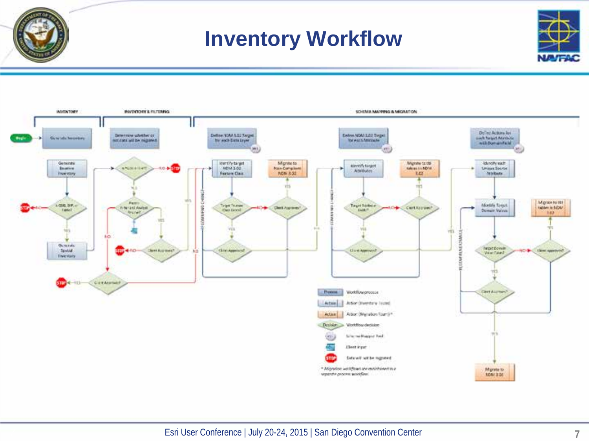





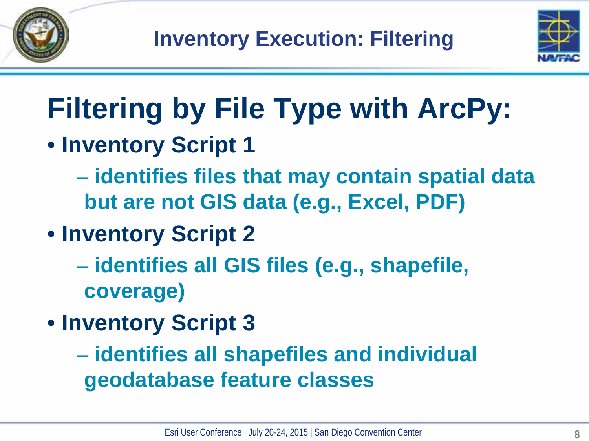



# **Filtering by File Type with ArcPy:**

- **Inventory Script 1** 
	- **identifies files that may contain spatial data but are not GIS data (e.g., Excel, PDF)**
- **Inventory Script 2** 
	- **identifies all GIS files (e.g., shapefile, coverage)**
- **Inventory Script 3**
	- **identifies all shapefiles and individual geodatabase feature classes**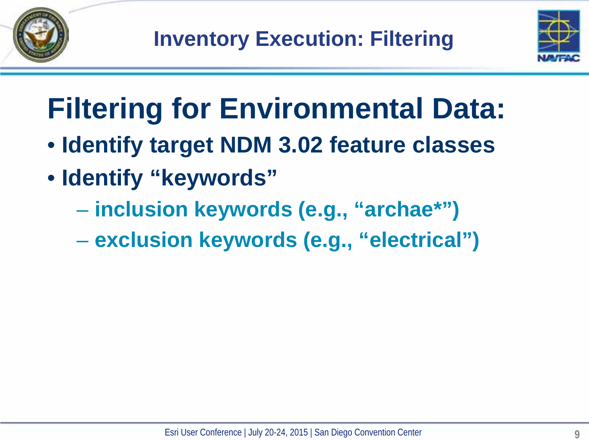



# **Filtering for Environmental Data:**

- **Identify target NDM 3.02 feature classes**
- **Identify "keywords"**
	- **inclusion keywords (e.g., "archae\*")**
	- **exclusion keywords (e.g., "electrical")**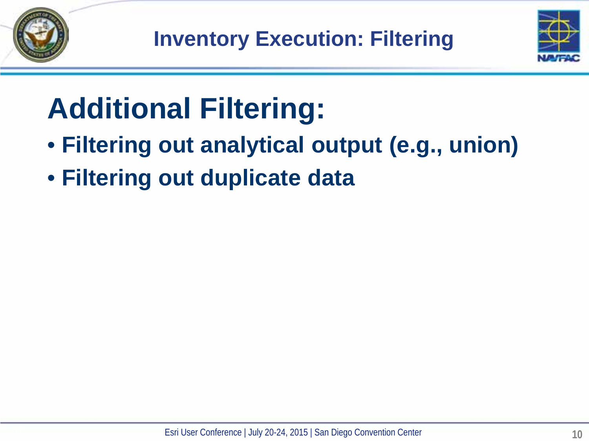



## **Additional Filtering:**

- **Filtering out analytical output (e.g., union)**
- **Filtering out duplicate data**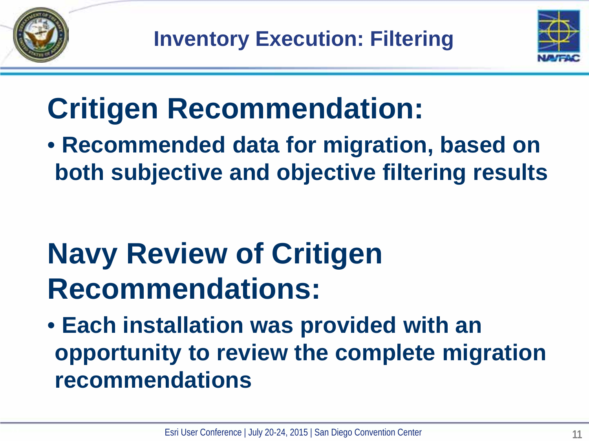



## **Critigen Recommendation:**

• **Recommended data for migration, based on both subjective and objective filtering results**

## **Navy Review of Critigen Recommendations:**

• **Each installation was provided with an opportunity to review the complete migration recommendations**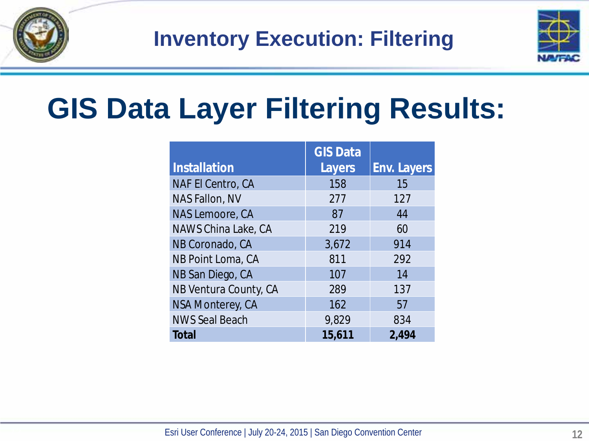

**Inventory Execution: Filtering**



#### **GIS Data Layer Filtering Results:**

|                          | <b>GIS Data</b> |                    |
|--------------------------|-----------------|--------------------|
| <b>Installation</b>      | Layers          | <b>Env. Layers</b> |
| <b>NAF El Centro, CA</b> | 158             | 15                 |
| NAS Fallon, NV           | 277             | 127                |
| NAS Lemoore, CA          | 87              | 44                 |
| NAWS China Lake, CA      | 219             | 60                 |
| NB Coronado, CA          | 3,672           | 914                |
| NB Point Loma, CA        | 811             | 292                |
| NB San Diego, CA         | 107             | 14                 |
| NB Ventura County, CA    | 289             | 137                |
| NSA Monterey, CA         | 162             | 57                 |
| <b>NWS Seal Beach</b>    | 9.829           | 834                |
| <b>Total</b>             | 15,611          | 2,494              |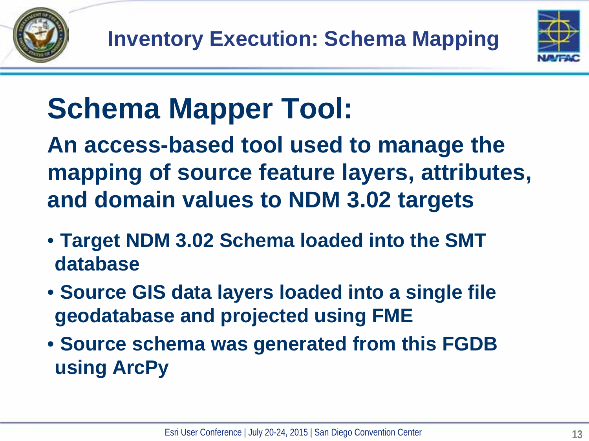

## **Schema Mapper Tool:**

**An access-based tool used to manage the mapping of source feature layers, attributes, and domain values to NDM 3.02 targets**

- **Target NDM 3.02 Schema loaded into the SMT database**
- **Source GIS data layers loaded into a single file geodatabase and projected using FME**
- **Source schema was generated from this FGDB using ArcPy**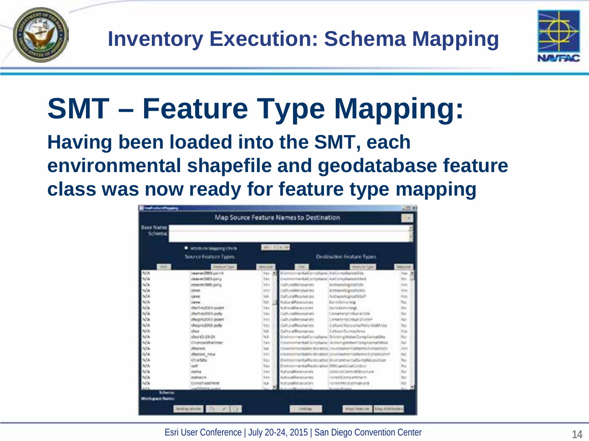



## **SMT – Feature Type Mapping:**

#### **Having been loaded into the SMT, each environmental shapefile and geodatabase feature class was now ready for feature type mapping**

|                           | Map Source Feature Names to Destination |                       |                                              |                                                                 |             |
|---------------------------|-----------------------------------------|-----------------------|----------------------------------------------|-----------------------------------------------------------------|-------------|
| Base Name<br>Schema.      |                                         |                       |                                              |                                                                 |             |
|                           | Amiliate Magazig Check                  | (and ) in ( on ) rate |                                              |                                                                 |             |
|                           | Source Foature Types                    |                       | <b>Destination Foature Types</b>             |                                                                 |             |
| Allen.                    | <b>Sentium Type</b>                     |                       | <b>Film</b>                                  | <b>Wakking Type:</b>                                            |             |
| tuta                      | Johannes 2003-gas (1)                   | ٠<br>Ves              | Brington                                     | entable rultano dal considerati la                              | Yes.        |
| ti/a                      | counter 2003-241y                       | 791                   |                                              | heritalCommission EarCommission Island                          | <b>Auto</b> |
| N/A                       | 0hmm7905-pcl/a                          | <b>VH</b>             | Club mallionshorters                         | Archaeologycellute                                              | THE         |
| wa                        | <b>cover</b>                            | 891                   | Callford@estionnes                           | <b>Arizváriní/vprostivitist</b>                                 | Tél:        |
| nita                      | <b>COVID</b>                            | Sib.                  | Collumatibiodygram                           | ArchaeologicalStuff                                             | Vel         |
| N/A                       | <b>CHEVIE</b>                           | <b>NA</b>             | Natural Resourcies                           | <b>BackArmockig</b>                                             | No          |
| N/A                       | dischmütlets-point.                     | <b>Yes</b>            | Naturalilla societare                        | <b>Ianklemonnet</b>                                             | Ass         |
| N/A                       | duchm2085-ooky                          | liws                  | Cumuraitle unument                           | Elementary Entire call Edw                                      | fur.        |
| NS                        | cheprozos) poem                         | 393                   | Culturalitiesmanies                          | Exectivities and the                                            | 400         |
| ti/a                      | chegro20tili poly                       | YEs.                  | CulturalResources                            | Ealthing Resource/Hatiotoaukhous                                | Tuci        |
| NA                        | <b>O'nce</b>                            | <b>TLA</b>            | <b>Culturathesing res</b>                    | EallsstafflumeyArea                                             | Yun         |
| N/A                       | dwid535.00                              | w                     |                                              | Evelmining ItalOonsillano Dritting WaterComplians althe         | tio         |
| $\mathcal{N}/\mathcal{R}$ | спичаниямблег                           | 141                   |                                              | EnveronmentalComplianci Divirain goldent bing bance (attack     | <b>hari</b> |
| NG                        | distant.                                | NA                    |                                              | Environmentality dramatics investmentalitiemed attention        | XH1         |
| N/a                       | district, heat                          | Vé+                   |                                              | EN/WWW.britalitie.ittmab.cl (2N/Www.britalitiemurd.cr).oxidintr | Akt         |
| NA                        | <b>ChorSills</b>                        | Vo:                   |                                              | Ewinon hordal Restoration Environmental Samplid position        | No          |
| NA                        | ooff                                    | Nex                   | Ev/IncrimertalReaturation ENVLare/UseControl |                                                                 | hoi         |
| NG                        | court at                                | 344                   | <b>NaturalNessurers</b>                      | interest controller artiste                                     | tis         |
| N/A                       | comete.                                 | 141                   | Amas@esporter                                | Forward Zympartizina int                                        | Tur.        |
| NG                        | Contri-sosiere                          | <b>Test</b>           | Norumalitie squartes                         | <b>FILTPATROSSICTHIQUEST</b>                                    |             |
| ALC N                     | confirmable available                   |                       |                                              | <b>Contract with Assessed</b>                                   |             |
| Schema                    |                                         |                       |                                              |                                                                 |             |
| <b>Workspace Numer</b>    |                                         |                       |                                              |                                                                 |             |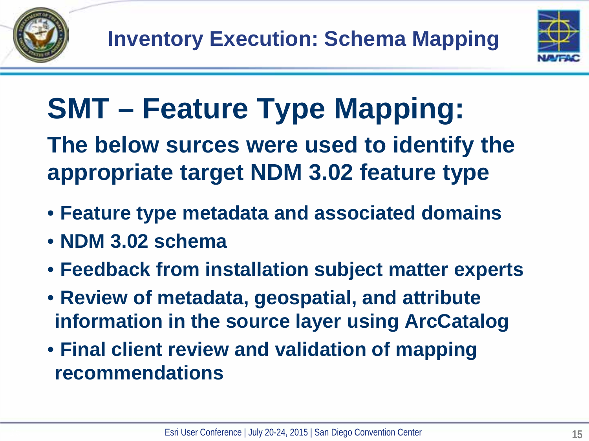



## **SMT – Feature Type Mapping:**

**The below surces were used to identify the appropriate target NDM 3.02 feature type**

- **Feature type metadata and associated domains**
- **NDM 3.02 schema**
- **Feedback from installation subject matter experts**
- **Review of metadata, geospatial, and attribute information in the source layer using ArcCatalog**
- **Final client review and validation of mapping recommendations**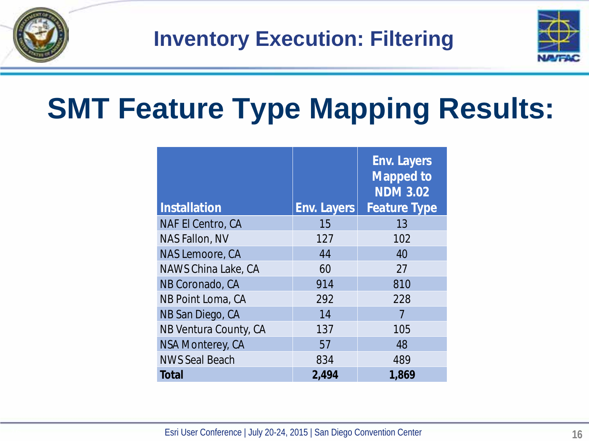

**Inventory Execution: Filtering**



## **SMT Feature Type Mapping Results:**

| <b>Installation</b>      | <b>Env. Layers</b> | <b>Env. Layers</b><br><b>Mapped to</b><br><b>NDM 3.02</b><br><b>Feature Type</b> |
|--------------------------|--------------------|----------------------------------------------------------------------------------|
| <b>NAF El Centro, CA</b> | 15                 | 13                                                                               |
| <b>NAS Fallon, NV</b>    | 127                | 102                                                                              |
| NAS Lemoore, CA          | 44                 | 40                                                                               |
| NAWS China Lake, CA      | 60                 | 27                                                                               |
| NB Coronado, CA          | 914                | 810                                                                              |
| NB Point Loma, CA        | 292                | 228                                                                              |
| NB San Diego, CA         | 14                 |                                                                                  |
| NB Ventura County, CA    | 137                | 105                                                                              |
| <b>NSA Monterey, CA</b>  | 57                 | 48                                                                               |
| <b>NWS Seal Beach</b>    | 834                | 489                                                                              |
| <b>Total</b>             | 2,494              | 1,869                                                                            |